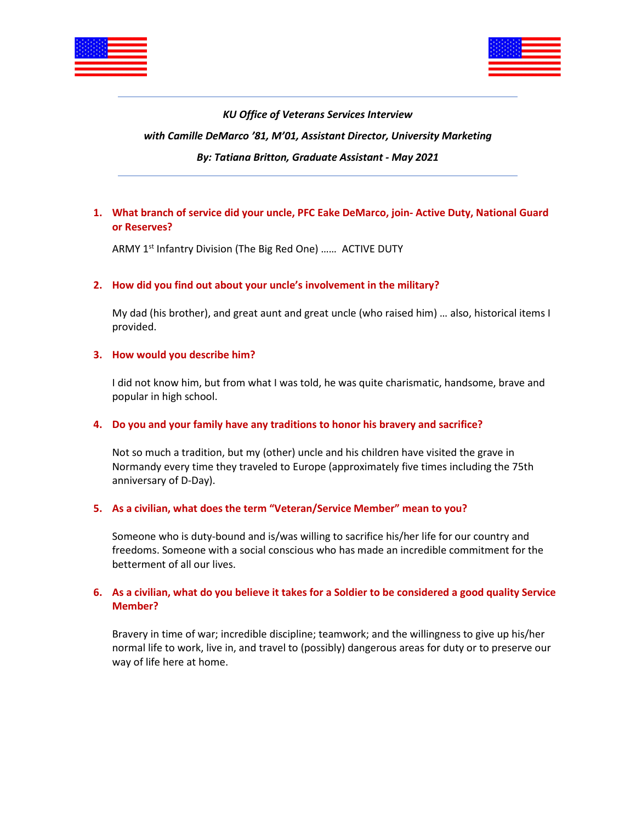



### *KU Office of Veterans Services Interview*

#### *with Camille DeMarco '81, M'01, Assistant Director, University Marketing*

#### *By: Tatiana Britton, Graduate Assistant - May 2021*

# **1. What branch of service did your uncle, PFC Eake DeMarco, join- Active Duty, National Guard or Reserves?**

ARMY 1<sup>st</sup> Infantry Division (The Big Red One) ...... ACTIVE DUTY

## **2. How did you find out about your uncle's involvement in the military?**

My dad (his brother), and great aunt and great uncle (who raised him) … also, historical items I provided.

#### **3. How would you describe him?**

I did not know him, but from what I was told, he was quite charismatic, handsome, brave and popular in high school.

#### **4. Do you and your family have any traditions to honor his bravery and sacrifice?**

Not so much a tradition, but my (other) uncle and his children have visited the grave in Normandy every time they traveled to Europe (approximately five times including the 75th anniversary of D-Day).

## **5. As a civilian, what does the term "Veteran/Service Member" mean to you?**

Someone who is duty-bound and is/was willing to sacrifice his/her life for our country and freedoms. Someone with a social conscious who has made an incredible commitment for the betterment of all our lives.

## **6. As a civilian, what do you believe it takes for a Soldier to be considered a good quality Service Member?**

Bravery in time of war; incredible discipline; teamwork; and the willingness to give up his/her normal life to work, live in, and travel to (possibly) dangerous areas for duty or to preserve our way of life here at home.